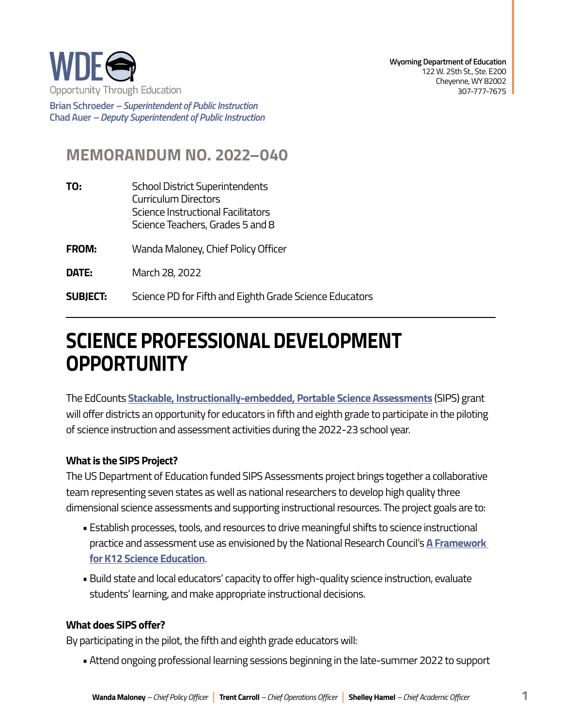

**Brian Schroeder –***Superintendent of Public Instruction*  **Chad Auer** *– Deputy Superintendent of Public Instruction* 

## **MEMORANDUM NO. 2022–040**

- **TO:** School District Superintendents Curriculum Directors Science Instructional Facilitators Science Teachers, Grades 5 and 8
- **FROM:** Wanda Maloney, Chief Policy Officer
- **DATE:** March 28, 2022
- **SUBJECT:** Science PD for Fifth and Eighth Grade Science Educators

# **SCIENCE PROFESSIONAL DEVELOPMENT OPPORTUNITY**

The EdCounts **[Stackable, Instructionally-embedded, Portable Science Assessments](https://sipsassessments.org/)** (SIPS) grant will offer districts an opportunity for educators in fifth and eighth grade to participate in the piloting of science instruction and assessment activities during the 2022-23 school year.

#### **What is the SIPS Project?**

The US Department of Education funded SIPS Assessments project brings together a collaborative team representing seven states as well as national researchers to develop high quality three dimensional science assessments and supporting instructional resources. The project goals are to:

- Establish processes, tools, and resources to drive meaningful shifts to science instructional practice and assessment use as envisioned by the National Research Council's **[A Framework](https://www.nap.edu/catalog/13165/a-framework-for-k-12-science-education-practices-crosscutting-concepts)  [for K12 Science Education](https://www.nap.edu/catalog/13165/a-framework-for-k-12-science-education-practices-crosscutting-concepts)**.
- Build state and local educators' capacity to offer high-quality science instruction, evaluate students' learning, and make appropriate instructional decisions.

#### **What does SIPS offer?**

By participating in the pilot, the fifth and eighth grade educators will:

• Attend ongoing professional learning sessions beginning in the late-summer 2022 to support